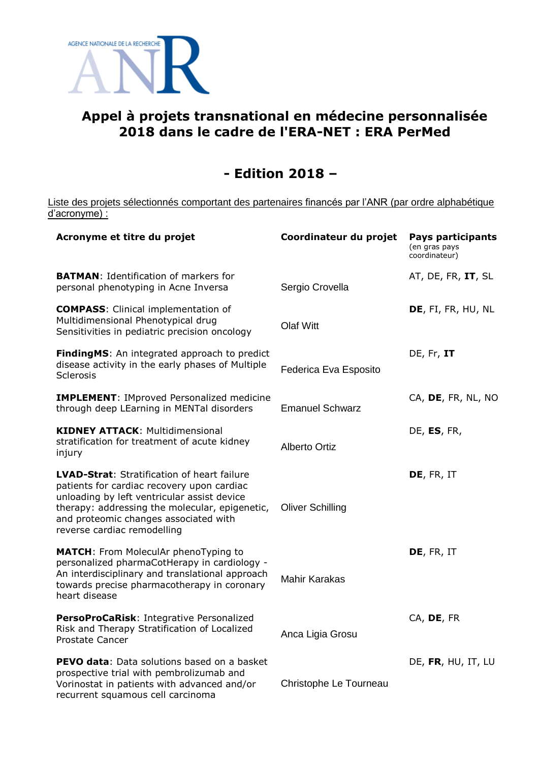

## **Appel à projets transnational en médecine personnalisée 2018 dans le cadre de l'ERA-NET : ERA PerMed**

## **- Edition 2018 –**

Liste des projets sélectionnés comportant des partenaires financés par l'ANR (par ordre alphabétique d'acronyme) :

| Acronyme et titre du projet                                                                                                                                                                                                                                        | Coordinateur du projet  | <b>Pays participants</b><br>(en gras pays<br>coordinateur) |
|--------------------------------------------------------------------------------------------------------------------------------------------------------------------------------------------------------------------------------------------------------------------|-------------------------|------------------------------------------------------------|
| <b>BATMAN:</b> Identification of markers for<br>personal phenotyping in Acne Inversa                                                                                                                                                                               | Sergio Crovella         | AT, DE, FR, IT, SL                                         |
| <b>COMPASS:</b> Clinical implementation of<br>Multidimensional Phenotypical drug<br>Sensitivities in pediatric precision oncology                                                                                                                                  | <b>Olaf Witt</b>        | DE, FI, FR, HU, NL                                         |
| FindingMS: An integrated approach to predict<br>disease activity in the early phases of Multiple<br><b>Sclerosis</b>                                                                                                                                               | Federica Eva Esposito   | DE, Fr, IT                                                 |
| <b>IMPLEMENT: IMproved Personalized medicine</b><br>through deep LEarning in MENTal disorders                                                                                                                                                                      | <b>Emanuel Schwarz</b>  | CA, DE, FR, NL, NO                                         |
| <b>KIDNEY ATTACK: Multidimensional</b><br>stratification for treatment of acute kidney<br>injury                                                                                                                                                                   | <b>Alberto Ortiz</b>    | DE, ES, FR,                                                |
| LVAD-Strat: Stratification of heart failure<br>patients for cardiac recovery upon cardiac<br>unloading by left ventricular assist device<br>therapy: addressing the molecular, epigenetic,<br>and proteomic changes associated with<br>reverse cardiac remodelling | <b>Oliver Schilling</b> | DE, FR, IT                                                 |
| <b>MATCH:</b> From MoleculAr phenoTyping to<br>personalized pharmaCotHerapy in cardiology -<br>An interdisciplinary and translational approach<br>towards precise pharmacotherapy in coronary<br>heart disease                                                     | <b>Mahir Karakas</b>    | DE, FR, IT                                                 |
| PersoProCaRisk: Integrative Personalized<br>Risk and Therapy Stratification of Localized<br><b>Prostate Cancer</b>                                                                                                                                                 | Anca Ligia Grosu        | CA, DE, FR                                                 |
| PEVO data: Data solutions based on a basket<br>prospective trial with pembrolizumab and<br>Vorinostat in patients with advanced and/or<br>recurrent squamous cell carcinoma                                                                                        | Christophe Le Tourneau  | DE, FR, HU, IT, LU                                         |